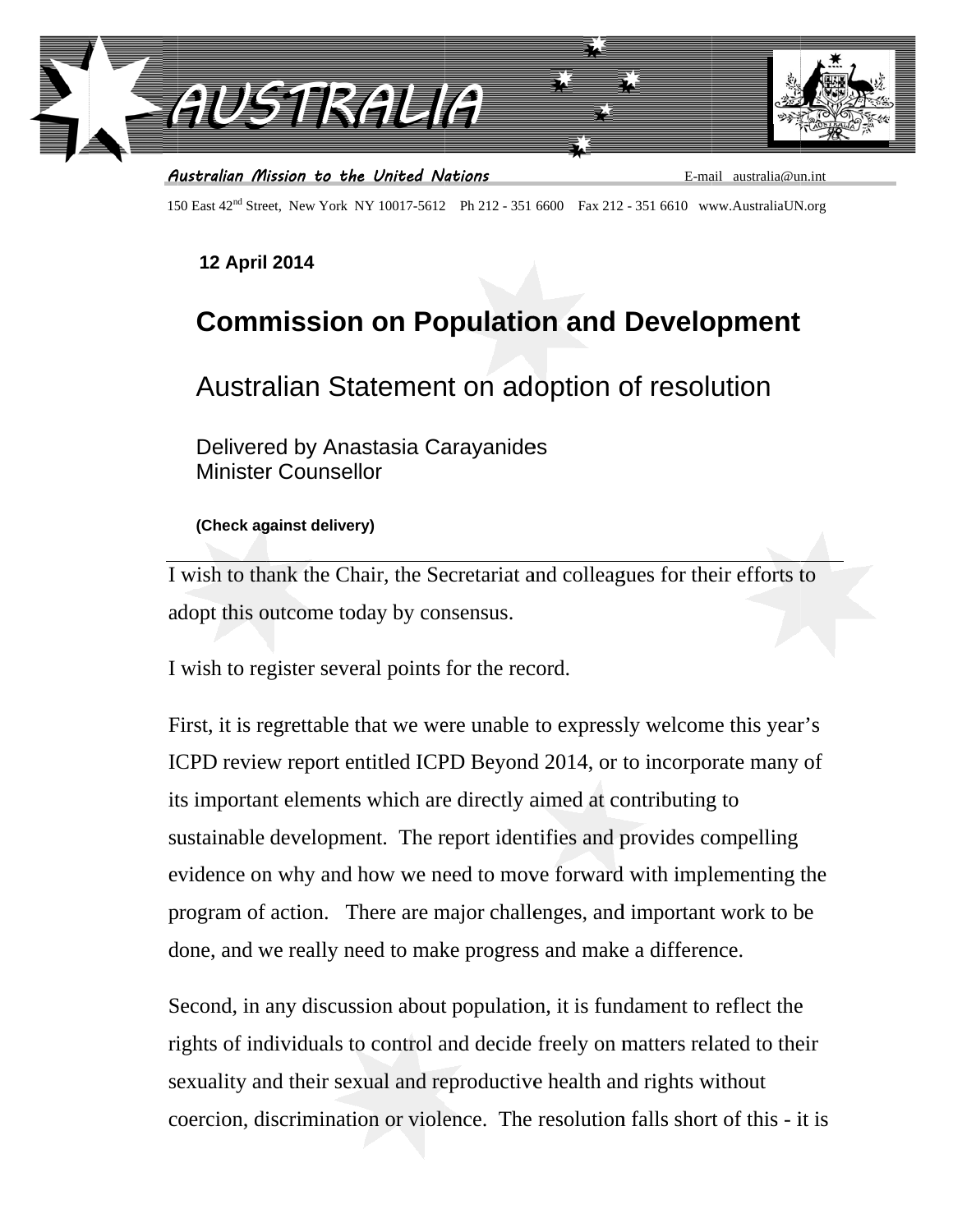

150 East 42<sup>nd</sup> Street. New York NY 10017-5612 Ph 212 - 351 6600 Fax 212 - 351 6610 www.AustraliaUN.org

## **12 April 2014**

## **Commission on Population and Development**

## Australian Statement on adoption of resolution

Delivered by Anastasia Carayanides **Minister Counsellor** 

(Check against delivery)

I wish to thank the Chair, the Secretariat and colleagues for their efforts to adopt this outcome today by consensus.

I wish to register several points for the record.

First, it is regrettable that we were unable to expressly welcome this year's ICPD review report entitled ICPD Beyond 2014, or to incorporate many of its important elements which are directly aimed at contributing to sustainable development. The report identifies and provides compelling evidence on why and how we need to move forward with implementing the program of action. There are major challenges, and important work to be done, and we really need to make progress and make a difference.

Second, in any discussion about population, it is fundament to reflect the rights of individuals to control and decide freely on matters related to their sexuality and their sexual and reproductive health and rights without coercion, discrimination or violence. The resolution falls short of this - it is